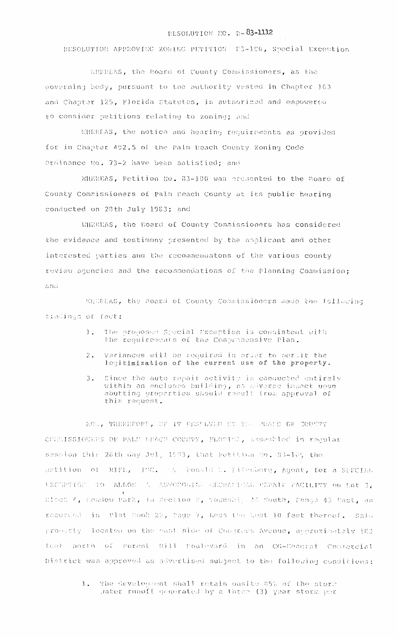## RESOLUTION NO. R-83-1112

RESOLUTION APPROVING ZONING PETITION 83-100, Special Exception

WHEREAS, the Board of County Commissioners, as the coverning body, pursuant to the authority vasted in Chapter 163 and Chapter 125, Florida Statutes, is authorized and empowered to consider petitions relating to zoning; and

WHEREAS, the notice and hearing requirements as provided for in Chapter 492.5 of the Palm Beach County Zoning Code Ordinance No. 73-2 have been satisfied; and

WHEREAS, Petition No. 83-100 was oresented to the Board of County Commissioners of Palm Beach County at its public hearing conducted on 20th July 1983; and

WHEREAS, the Board of County Commissioners has considered the evidence and testimony presented by the applicant and other interested parties and the recommendatons of the various county review agencies and the recommendations of the Planning Commission; and

WEDREAS, the Board of County Commissioners made the following findings of fact:

- The oroposed Special Uxception is consistent with  $\mathbf{1}$ . the requirements of the Comprehensive Plan.
- Variances will be required in order to paralt the  $2.$ legitimization of the current use of the property.
- Since the auto repair activity is conducted entirely  $3.$ within an enclosed building, no adverse impact upon abutting properties should result from approval of this request.

NON, THEREFORD, BF 1T EESCLVED BY THE ROATD OF COUNTY CONNISSIONERS OF PALM BRACH COUNTY, ELORIDA, assembled in regular session this 28th day Jul; 1993, that Petition Mo. 83-104 the patition of RIFL, 190. A Ponald L. Fifenberg, Myent, for a SPECIAL EXCUPTION TO ALLOW A AUTOMOBIAN GEOMANICAL EXPAIR FACILITY on Lot 3, Dieck 6, headow Park, in Section 8, Township 44 South, Pange 43 Dast, as recorded in plat Dook 22, page 7, Less the Lest 10 feet thereof. Said productly located on the east side of Congress Avenue, approximately 183 feet aorth of Porest Hill Boulevard in an CG-Ceneral Cossercial District was approved as advertised subject to the following conditions:

> 1. The development shall retain onsite 25% of the storm Jater runoff generated by a three (3) year storm per